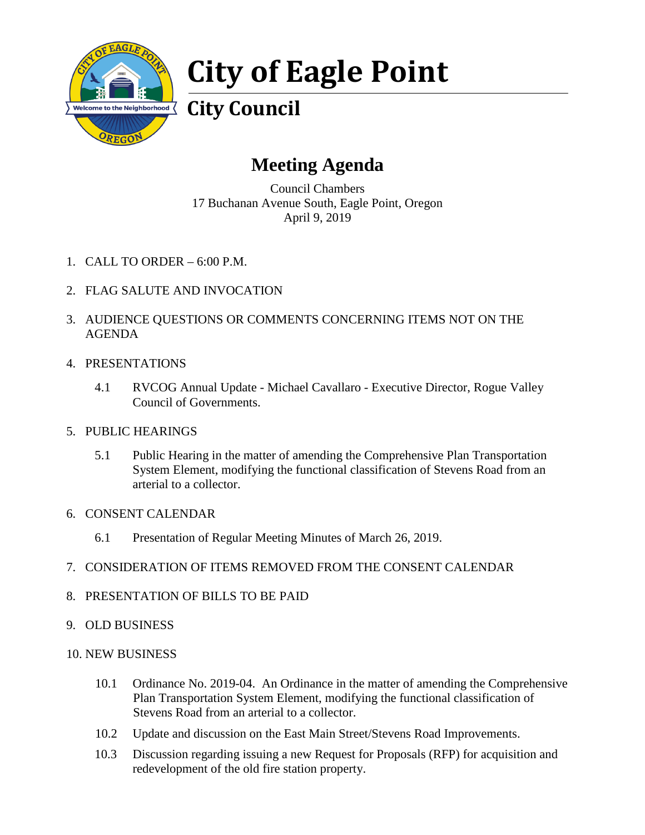

# **City of Eagle Point**

# **City Council**

## **Meeting Agenda**

Council Chambers 17 Buchanan Avenue South, Eagle Point, Oregon April 9, 2019

- 1. CALL TO ORDER 6:00 P.M.
- 2. FLAG SALUTE AND INVOCATION
- 3. AUDIENCE QUESTIONS OR COMMENTS CONCERNING ITEMS NOT ON THE AGENDA

## 4. PRESENTATIONS

4.1 RVCOG Annual Update - Michael Cavallaro - Executive Director, Rogue Valley Council of Governments.

## 5. PUBLIC HEARINGS

5.1 Public Hearing in the matter of amending the Comprehensive Plan Transportation System Element, modifying the functional classification of Stevens Road from an arterial to a collector.

## 6. CONSENT CALENDAR

6.1 Presentation of Regular Meeting Minutes of March 26, 2019.

## 7. CONSIDERATION OF ITEMS REMOVED FROM THE CONSENT CALENDAR

- 8. PRESENTATION OF BILLS TO BE PAID
- 9. OLD BUSINESS

## 10. NEW BUSINESS

- 10.1 Ordinance No. 2019-04. An Ordinance in the matter of amending the Comprehensive Plan Transportation System Element, modifying the functional classification of Stevens Road from an arterial to a collector.
- 10.2 Update and discussion on the East Main Street/Stevens Road Improvements.
- 10.3 Discussion regarding issuing a new Request for Proposals (RFP) for acquisition and redevelopment of the old fire station property.